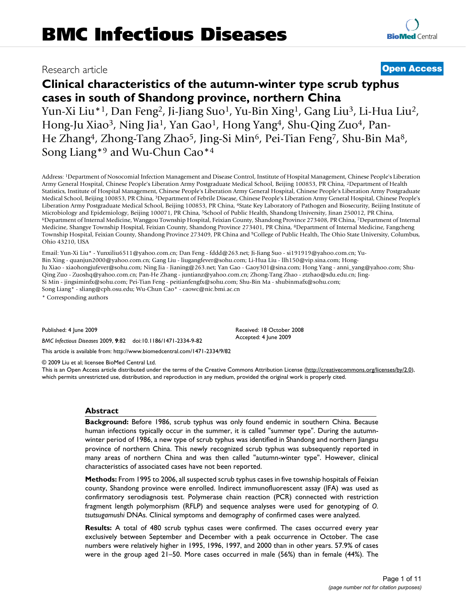# Research article **[Open Access](http://www.biomedcentral.com/info/about/charter/)**

# **Clinical characteristics of the autumn-winter type scrub typhus cases in south of Shandong province, northern China**

Yun-Xi Liu\*1, Dan Feng2, Ji-Jiang Suo1, Yu-Bin Xing1, Gang Liu3, Li-Hua Liu2, Hong-Ju Xiao<sup>3</sup>, Ning Jia<sup>1</sup>, Yan Gao<sup>1</sup>, Hong Yang<sup>4</sup>, Shu-Qing Zuo<sup>4</sup>, Pan-He Zhang4, Zhong-Tang Zhao5, Jing-Si Min6, Pei-Tian Feng7, Shu-Bin Ma8, Song Liang\*9 and Wu-Chun Cao\*4

Address: 1Department of Nosocomial Infection Management and Disease Control, Institute of Hospital Management, Chinese People's Liberation Army General Hospital, Chinese People's Liberation Army Postgraduate Medical School, Beijing 100853, PR China, 2Department of Health Statistics, Institute of Hospital Management, Chinese People's Liberation Army General Hospital, Chinese People's Liberation Army Postgraduate Medical School, Beijing 100853, PR China, 3Department of Febrile Disease, Chinese People's Liberation Army General Hospital, Chinese People's Liberation Army Postgraduate Medical School, Beijing 100853, PR China, 4State Key Laboratory of Pathogen and Biosecurity, Beijing Institute of Microbiology and Epidemiology, Beijing 100071, PR China, <sup>5</sup>School of Public Health, Shandong University, Jinan 250012, PR China,<br><sup>6</sup>Department of Internal Medicine, Wanggou Township Hospital, Feixian County, Shandong Prov Medicine, Shangye Township Hospital, Feixian County, Shandong Province 273401, PR China, 8Department of Internal Medicine, Fangcheng Township Hospital, Feixian County, Shandong Province 273409, PR China and 9College of Public Health, The Ohio State University, Columbus, Ohio 43210, USA

Email: Yun-Xi Liu\* - Yunxiliu6511@yahoo.com.cn; Dan Feng - fddd@263.net; Ji-Jiang Suo - si191919@yahoo.com.cn; Yu-Bin Xing - quanjun2000@yahoo.com.cn; Gang Liu - liugangfever@sohu.com; Li-Hua Liu - llh150@vip.sina.com; Hong-Ju Xiao - xiaohongjufever@sohu.com; Ning Jia - Jianing@263.net; Yan Gao - Gaoy301@sina.com; Hong Yang - anni\_yang@yahoo.com; Shu-Qing Zuo - Zuoshq@yahoo.com.cn; Pan-He Zhang - juntianz@yahoo.com.cn; Zhong-Tang Zhao - ztzhao@sdu.edu.cn; Jing-Si Min - jingsiminfx@sohu.com; Pei-Tian Feng - peitianfengfx@sohu.com; Shu-Bin Ma - shubinmafx@sohu.com; Song Liang\* - sliang@cph.osu.edu; Wu-Chun Cao\* - caowc@nic.bmi.ac.cn

\* Corresponding authors

Published: 4 June 2009

*BMC Infectious Diseases* 2009, **9**:82 doi:10.1186/1471-2334-9-82

[This article is available from: http://www.biomedcentral.com/1471-2334/9/82](http://www.biomedcentral.com/1471-2334/9/82)

© 2009 Liu et al; licensee BioMed Central Ltd.

This is an Open Access article distributed under the terms of the Creative Commons Attribution License [\(http://creativecommons.org/licenses/by/2.0\)](http://creativecommons.org/licenses/by/2.0), which permits unrestricted use, distribution, and reproduction in any medium, provided the original work is properly cited.

Received: 18 October 2008 Accepted: 4 June 2009

#### **Abstract**

**Background:** Before 1986, scrub typhus was only found endemic in southern China. Because human infections typically occur in the summer, it is called "summer type". During the autumnwinter period of 1986, a new type of scrub typhus was identified in Shandong and northern Jiangsu province of northern China. This newly recognized scrub typhus was subsequently reported in many areas of northern China and was then called "autumn-winter type". However, clinical characteristics of associated cases have not been reported.

**Methods:** From 1995 to 2006, all suspected scrub typhus cases in five township hospitals of Feixian county, Shandong province were enrolled. Indirect immunofluorescent assay (IFA) was used as confirmatory serodiagnosis test. Polymerase chain reaction (PCR) connected with restriction fragment length polymorphism (RFLP) and sequence analyses were used for genotyping of *O. tsutsugamushi* DNAs. Clinical symptoms and demography of confirmed cases were analyzed.

**Results:** A total of 480 scrub typhus cases were confirmed. The cases occurred every year exclusively between September and December with a peak occurrence in October. The case numbers were relatively higher in 1995, 1996, 1997, and 2000 than in other years. 57.9% of cases were in the group aged 21–50. More cases occurred in male (56%) than in female (44%). The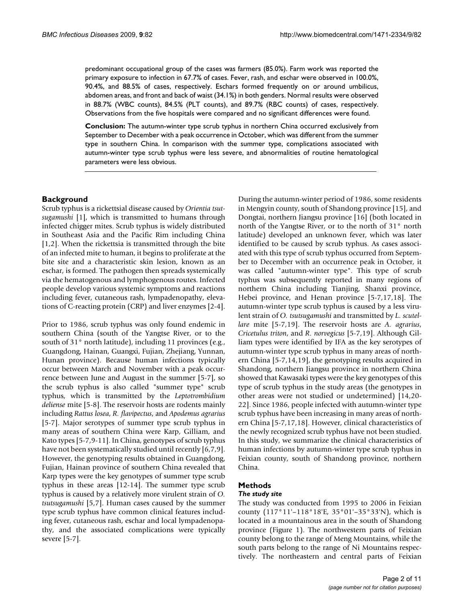predominant occupational group of the cases was farmers (85.0%). Farm work was reported the primary exposure to infection in 67.7% of cases. Fever, rash, and eschar were observed in 100.0%, 90.4%, and 88.5% of cases, respectively. Eschars formed frequently on or around umbilicus, abdomen areas, and front and back of waist (34.1%) in both genders. Normal results were observed in 88.7% (WBC counts), 84.5% (PLT counts), and 89.7% (RBC counts) of cases, respectively. Observations from the five hospitals were compared and no significant differences were found.

**Conclusion:** The autumn-winter type scrub typhus in northern China occurred exclusively from September to December with a peak occurrence in October, which was different from the summer type in southern China. In comparison with the summer type, complications associated with autumn-winter type scrub typhus were less severe, and abnormalities of routine hematological parameters were less obvious.

# **Background**

Scrub typhus is a rickettsial disease caused by *Orientia tsutsugamushi* [1], which is transmitted to humans through infected chigger mites. Scrub typhus is widely distributed in Southeast Asia and the Pacific Rim including China [1,2]. When the rickettsia is transmitted through the bite of an infected mite to human, it begins to proliferate at the bite site and a characteristic skin lesion, known as an eschar, is formed. The pathogen then spreads systemically via the hematogenous and lymphogenous routes. Infected people develop various systemic symptoms and reactions including fever, cutaneous rash, lympadenopathy, elevations of C-reacting protein (CRP) and liver enzymes [2-4].

Prior to 1986, scrub typhus was only found endemic in southern China (south of the Yangtse River, or to the south of 31° north latitude), including 11 provinces (e.g., Guangdong, Hainan, Guangxi, Fujian, Zhejiang, Yunnan, Hunan province). Because human infections typically occur between March and November with a peak occurrence between June and August in the summer [5-7], so the scrub typhus is also called "summer type" scrub typhus, which is transmitted by the *Leptotrombidium deliense* mite [5-8]. The reservoir hosts are rodents mainly including *Rattus losea*, *R. flavipectus*, and *Apodemus agrarius* [5-7]. Major serotypes of summer type scrub typhus in many areas of southern China were Karp, Gilliam, and Kato types [5-7,9-11]. In China, genotypes of scrub typhus have not been systematically studied until recently [6,7,9]. However, the genotyping results obtained in Guangdong, Fujian, Hainan province of southern China revealed that Karp types were the key genotypes of summer type scrub typhus in these areas [12-14]. The summer type scrub typhus is caused by a relatively more virulent strain of *O. tsutsugamushi* [5,7]. Human cases caused by the summer type scrub typhus have common clinical features including fever, cutaneous rash, eschar and local lympadenopathy, and the associated complications were typically severe [5-7].

During the autumn-winter period of 1986, some residents in Mengyin county, south of Shandong province [15], and Dongtai, northern Jiangsu province [16] (both located in north of the Yangtse River, or to the north of 31° north latitude) developed an unknown fever, which was later identified to be caused by scrub typhus. As cases associated with this type of scrub typhus occurred from September to December with an occurrence peak in October, it was called "autumn-winter type". This type of scrub typhus was subsequently reported in many regions of northern China including Tianjing, Shanxi province, Hebei province, and Henan province [5-7,17,18]. The autumn-winter type scrub typhus is caused by a less virulent strain of *O. tsutsugamushi* and transmitted by *L. scutellare* mite [5-7,19]. The reservoir hosts are *A. agrarius*, *Cricetulus triton*, and *R. norvegicus* [5-7,19]. Although Gilliam types were identified by IFA as the key serotypes of autumn-winter type scrub typhus in many areas of northern China [5-7,14,19], the genotyping results acquired in Shandong, northern Jiangsu province in northern China showed that Kawasaki types were the key genotypes of this type of scrub typhus in the study areas (the genotypes in other areas were not studied or undetermined) [14,20- [22\]](#page-9-0). Since 1986, people infected with autumn-winter type scrub typhus have been increasing in many areas of northern China [5-7,17,18]. However, clinical characteristics of the newly recognized scrub typhus have not been studied. In this study, we summarize the clinical characteristics of human infections by autumn-winter type scrub typhus in Feixian county, south of Shandong province, northern China.

## **Methods**

#### *The study site*

The study was conducted from 1995 to 2006 in Feixian county (117°11'–118°18'E, 35°01'–35°33'N), which is located in a mountainous area in the south of Shandong province (Figure 1). The northwestern parts of Feixian county belong to the range of Meng Mountains, while the south parts belong to the range of Ni Mountains respectively. The northeastern and central parts of Feixian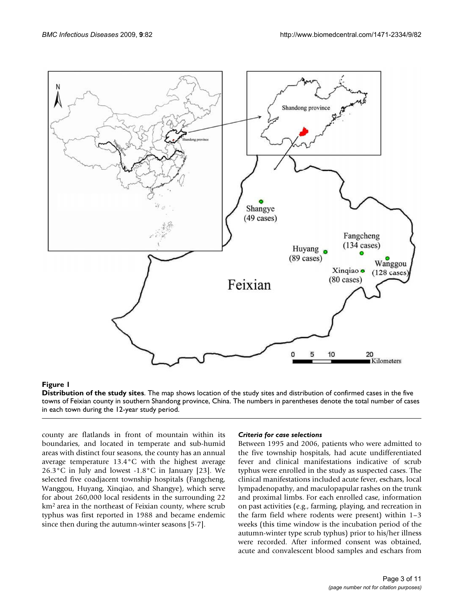

#### **Figure 1**

**Distribution of the study sites**. The map shows location of the study sites and distribution of confirmed cases in the five towns of Feixian county in southern Shandong province, China. The numbers in parentheses denote the total number of cases in each town during the 12-year study period.

county are flatlands in front of mountain within its boundaries, and located in temperate and sub-humid areas with distinct four seasons, the county has an annual average temperature 13.4°C with the highest average 26.3°C in July and lowest -1.8°C in January [23]. We selected five coadjacent township hospitals (Fangcheng, Wanggou, Huyang, Xinqiao, and Shangye), which serve for about 260,000 local residents in the surrounding 22 km2 area in the northeast of Feixian county, where scrub typhus was first reported in 1988 and became endemic since then during the autumn-winter seasons [5-7].

#### *Criteria for case selections*

Between 1995 and 2006, patients who were admitted to the five township hospitals, had acute undifferentiated fever and clinical manifestations indicative of scrub typhus were enrolled in the study as suspected cases. The clinical manifestations included acute fever, eschars, local lympadenopathy, and maculopapular rashes on the trunk and proximal limbs. For each enrolled case, information on past activities (e.g., farming, playing, and recreation in the farm field where rodents were present) within 1–3 weeks (this time window is the incubation period of the autumn-winter type scrub typhus) prior to his/her illness were recorded. After informed consent was obtained, acute and convalescent blood samples and eschars from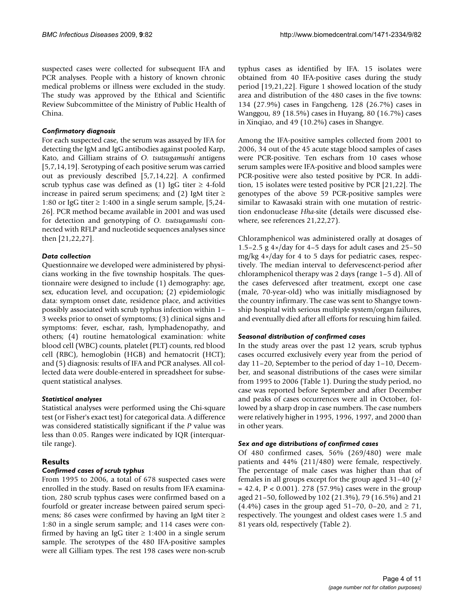suspected cases were collected for subsequent IFA and PCR analyses. People with a history of known chronic medical problems or illness were excluded in the study. The study was approved by the Ethical and Scientific Review Subcommittee of the Ministry of Public Health of China.

## *Confirmatory diagnosis*

For each suspected case, the serum was assayed by IFA for detecting the IgM and IgG antibodies against pooled Karp, Kato, and Gilliam strains of *O. tsutsugamushi* antigens [5,7,14,19]. Serotyping of each positive serum was carried out as previously described [5,7,14,[22\]](#page-9-0). A confirmed scrub typhus case was defined as (1) IgG titer  $\geq$  4-fold increase in paired serum specimens; and (2) IgM titer  $\ge$ 1:80 or IgG titer  $\geq$  1:400 in a single serum sample, [5,24-26]. PCR method became available in 2001 and was used for detection and genotyping of *O. tsutsugamushi* connected with RFLP and nucleotide sequences analyses since then [21,[22](#page-9-0),[27\]](#page-9-1).

# *Data collection*

Questionnaire we developed were administered by physicians working in the five township hospitals. The questionnaire were designed to include (1) demography: age, sex, education level, and occupation; (2) epidemiologic data: symptom onset date, residence place, and activities possibly associated with scrub typhus infection within 1– 3 weeks prior to onset of symptoms; (3) clinical signs and symptoms: fever, eschar, rash, lymphadenopathy, and others; (4) routine hematological examination: white blood cell (WBC) counts, platelet (PLT) counts, red blood cell (RBC), hemoglobin (HGB) and hematocrit (HCT); and (5) diagnosis: results of IFA and PCR analyses. All collected data were double-entered in spreadsheet for subsequent statistical analyses.

# *Statistical analyses*

Statistical analyses were performed using the Chi-square test (or Fisher's exact test) for categorical data. A difference was considered statistically significant if the *P* value was less than 0.05. Ranges were indicated by IQR (interquartile range).

# **Results**

# *Confirmed cases of scrub typhus*

From 1995 to 2006, a total of 678 suspected cases were enrolled in the study. Based on results from IFA examination, 280 scrub typhus cases were confirmed based on a fourfold or greater increase between paired serum specimens; 86 cases were confirmed by having an IgM titer ≥ 1:80 in a single serum sample; and 114 cases were confirmed by having an IgG titer  $\geq 1:400$  in a single serum sample. The serotypes of the 480 IFA-positive samples were all Gilliam types. The rest 198 cases were non-scrub

typhus cases as identified by IFA. 15 isolates were obtained from 40 IFA-positive cases during the study period [19,21,[22\]](#page-9-0). Figure 1 showed location of the study area and distribution of the 480 cases in the five towns: 134 (27.9%) cases in Fangcheng, 128 (26.7%) cases in Wanggou, 89 (18.5%) cases in Huyang, 80 (16.7%) cases in Xinqiao, and 49 (10.2%) cases in Shangye.

Among the IFA-positive samples collected from 2001 to 2006, 34 out of the 45 acute stage blood samples of cases were PCR-positive. Ten eschars from 10 cases whose serum samples were IFA-positive and blood samples were PCR-positive were also tested positive by PCR. In addition, 15 isolates were tested positive by PCR [21[,22\]](#page-9-0). The genotypes of the above 59 PCR-positive samples were similar to Kawasaki strain with one mutation of restriction endonuclease *Hha*-site (details were discussed elsewhere, see references 21,22,27).

Chloramphenicol was administered orally at dosages of 1.5–2.5 g  $4 \times$ /day for 4–5 days for adult cases and 25–50 mg/kg 4×/day for 4 to 5 days for pediatric cases, respectively. The median interval to defervescenct-period after chloramphenicol therapy was 2 days (range 1–5 d). All of the cases defervesced after treatment, except one case (male, 70-year-old) who was initially misdiagnosed by the country infirmary. The case was sent to Shangye township hospital with serious multiple system/organ failures, and eventually died after all efforts for rescuing him failed.

# *Seasonal distribution of confirmed cases*

In the study areas over the past 12 years, scrub typhus cases occurred exclusively every year from the period of day 11–20, September to the period of day 1–10, December, and seasonal distributions of the cases were similar from 1995 to 2006 (Table 1). During the study period, no case was reported before September and after December and peaks of cases occurrences were all in October, followed by a sharp drop in case numbers. The case numbers were relatively higher in 1995, 1996, 1997, and 2000 than in other years.

# *Sex and age distributions of confirmed cases*

Of 480 confirmed cases, 56% (269/480) were male patients and 44% (211/480) were female, respectively. The percentage of male cases was higher than that of females in all groups except for the group aged 31–40 ( $\chi^2$ )  $= 42.4$ , P < 0.001). 278 (57.9%) cases were in the group aged 21–50, followed by 102 (21.3%), 79 (16.5%) and 21 (4.4%) cases in the group aged 51–70, 0–20, and ≥ 71, respectively. The youngest and oldest cases were 1.5 and 81 years old, respectively (Table 2).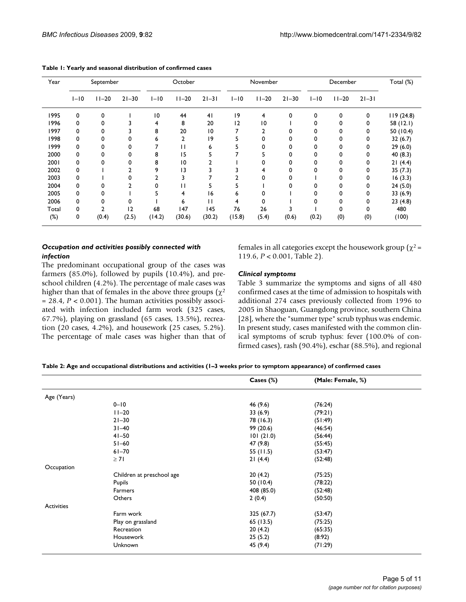| Year  | September |           | October   |                 | November  |                 | December |          | Total (%) |        |           |           |           |
|-------|-----------|-----------|-----------|-----------------|-----------|-----------------|----------|----------|-----------|--------|-----------|-----------|-----------|
|       | $I-I0$    | $11 - 20$ | $21 - 30$ | $I-I0$          | $11 - 20$ | $21 - 31$       | $I-I0$   | $11-20$  | $21 - 30$ | $I-I0$ | $11 - 20$ | $21 - 31$ |           |
| 1995  | 0         | 0         |           | $\overline{10}$ | 44        | 41              | 9        | 4        | 0         | 0      | 0         | 0         | 119(24.8) |
| 1996  | 0         | 0         |           | 4               | 8         | 20              | 12       | 10       |           | 0      | 0         | 0         | 58 (12.1) |
| 1997  | 0         | 0         |           | 8               | 20        | $\overline{10}$ |          | 2        |           | 0      | 0         | 0         | 50 (10.4) |
| 1998  | 0         | 0         | 0         | 6               | 2         | 9               |          | 0        |           |        | 0         | 0         | 32(6.7)   |
| 1999  | 0         | 0         | 0         |                 | П         | 6               |          | 0        |           |        | 0         | 0         | 29(6.0)   |
| 2000  | 0         | 0         | 0         | 8               | 15        | ב               |          | ב        |           |        | 0         | 0         | 40 (8.3)  |
| 2001  | 0         |           | 0         | 8               | 10        |                 |          |          |           |        | 0         | 0         | 21(4.4)   |
| 2002  | 0         |           |           | 9               | 13        |                 |          | 4        |           | 0      | 0         | 0         | 35(7.3)   |
| 2003  | 0         |           | 0         |                 |           |                 |          | $\Omega$ |           |        | 0         | 0         | 16(3.3)   |
| 2004  | 0         |           |           | 0               | н         |                 |          |          |           |        | 0         | 0         | 24(5.0)   |
| 2005  | 0         |           |           | 5               | 4         | 16              | 6        | 0        |           |        | 0         | 0         | 33(6.9)   |
| 2006  | 0         | 0         | 0         |                 | 6         | П               | 4        | $\Omega$ |           | 0      | 0         | 0         | 23(4.8)   |
| Total | 0         |           | 12        | 68              | 147       | 145             | 76       | 26       |           |        | $\Omega$  | 0         | 480       |
| (%)   | 0         | (0.4)     | (2.5)     | (14.2)          | (30.6)    | (30.2)          | (15.8)   | (5.4)    | (0.6)     | (0.2)  | (0)       | (0)       | (100)     |

**Table 1: Yearly and seasonal distribution of confirmed cases**

#### *Occupation and activities possibly connected with infection*

The predominant occupational group of the cases was farmers (85.0%), followed by pupils (10.4%), and preschool children (4.2%). The percentage of male cases was higher than that of females in the above three groups ( $\chi^2$ ) = 28.4, *P* < 0.001). The human activities possibly associated with infection included farm work (325 cases, 67.7%), playing on grassland (65 cases, 13.5%), recreation (20 cases, 4.2%), and housework (25 cases, 5.2%). The percentage of male cases was higher than that of females in all categories except the housework group ( $χ² =$ 119.6, *P* < 0.001, Table 2).

#### *Clinical symptoms*

Table 3 summarize the symptoms and signs of all 480 confirmed cases at the time of admission to hospitals with additional 274 cases previously collected from 1996 to 2005 in Shaoguan, Guangdong province, southern China [28], where the "summer type" scrub typhus was endemic. In present study, cases manifested with the common clinical symptoms of scrub typhus: fever (100.0% of confirmed cases), rash (90.4%), eschar (88.5%), and regional

| Table 2: Age and occupational distributions and activities (1–3 weeks prior to symptom appearance) of confirmed cases |  |  |  |
|-----------------------------------------------------------------------------------------------------------------------|--|--|--|
|-----------------------------------------------------------------------------------------------------------------------|--|--|--|

|                   |                           | Cases $(\%)$ | (Male: Female, %) |  |
|-------------------|---------------------------|--------------|-------------------|--|
| Age (Years)       |                           |              |                   |  |
|                   | $0 - 10$                  | 46 (9.6)     | (76:24)           |  |
|                   | $11 - 20$                 | 33(6.9)      | (79:21)           |  |
|                   | $21 - 30$                 | 78 (16.3)    | (51:49)           |  |
|                   | $31 - 40$                 | 99 (20.6)    | (46:54)           |  |
|                   | $41 - 50$                 | 101(21.0)    | (56:44)           |  |
|                   | $51 - 60$                 | 47 (9.8)     | (55:45)           |  |
|                   | $61 - 70$                 | 55 (11.5)    | (53:47)           |  |
|                   | $\geq 71$                 | 21(4.4)      | (52:48)           |  |
| Occupation        |                           |              |                   |  |
|                   | Children at preschool age | 20(4.2)      | (75:25)           |  |
|                   | Pupils                    | 50 (10.4)    | (78:22)           |  |
|                   | Farmers                   | 408 (85.0)   | (52:48)           |  |
|                   | Others                    | 2(0.4)       | (50:50)           |  |
| <b>Activities</b> |                           |              |                   |  |
|                   | Farm work                 | 325 (67.7)   | (53:47)           |  |
|                   | Play on grassland         | 65 (13.5)    | (75:25)           |  |
|                   | Recreation                | 20(4.2)      | (65:35)           |  |
|                   | Housework                 | 25(5.2)      | (8:92)            |  |
|                   | Unknown                   | 45 (9.4)     | (71:29)           |  |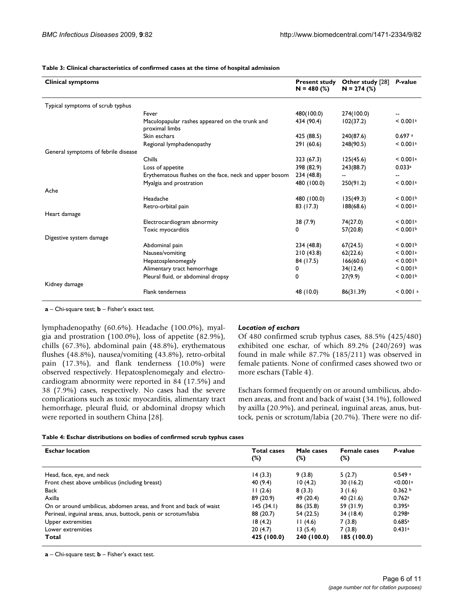#### **Table 3: Clinical characteristics of confirmed cases at the time of hospital admission**

| <b>Clinical symptoms</b>            |                                                                  | <b>Present study</b><br>$N = 480$ (%) | Other study [28]<br>$N = 274$ (%) | P-value                |
|-------------------------------------|------------------------------------------------------------------|---------------------------------------|-----------------------------------|------------------------|
| Typical symptoms of scrub typhus    |                                                                  |                                       |                                   |                        |
|                                     | Fever                                                            | 480(100.0)                            | 274(100.0)                        |                        |
|                                     | Maculopapular rashes appeared on the trunk and<br>proximal limbs | 434 (90.4)                            | 102(37.2)                         | < 0.001a               |
|                                     | Skin eschars                                                     | 425 (88.5)                            | 240(87.6)                         | $0.697$ a              |
|                                     | Regional lymphadenopathy                                         | 291 (60.6)                            | 248(90.5)                         | < 0.001a               |
| General symptoms of febrile disease |                                                                  |                                       |                                   |                        |
|                                     | Chills                                                           | 323 (67.3)                            | 125(45.6)                         | < 0.001a               |
|                                     | Loss of appetite                                                 | 398 (82.9)                            | 243(88.7)                         | 0.033a                 |
|                                     | Erythematous flushes on the face, neck and upper bosom           | 234 (48.8)                            |                                   |                        |
|                                     | Myalgia and prostration                                          | 480 (100.0)                           | 250(91.2)                         | < 0.001a               |
| Ache                                |                                                                  |                                       |                                   |                        |
|                                     | Headache                                                         | 480 (100.0)                           | 135(49.3)                         | < 0.001 <sup>b</sup>   |
|                                     | Retro-orbital pain                                               | 83 (17.3)                             | 188(68.6)                         | < 0.001a               |
| Heart damage                        |                                                                  |                                       |                                   |                        |
|                                     | Electrocardiogram abnormity                                      | 38 (7.9)                              | 74(27.0)                          | < 0.001a               |
|                                     | Toxic myocarditis                                                | 0                                     | 57(20.8)                          | < 0.001 <sup>b</sup>   |
| Digestive system damage             |                                                                  |                                       |                                   |                        |
|                                     | Abdominal pain                                                   | 234 (48.8)                            | 67(24.5)                          | < 0.001 <sup>b</sup>   |
|                                     | Nausea/vomiting                                                  | 210(43.8)                             | 62(22.6)                          | < 0.001a               |
|                                     | Hepatosplenomegaly                                               | 84 (17.5)                             | 166(60.6)                         | < 0.001 <sup>b</sup>   |
|                                     | Alimentary tract hemorrhage                                      | 0                                     | 34(12.4)                          | < 0.001 <sup>b</sup>   |
|                                     | Pleural fluid, or abdominal dropsy                               | 0                                     | 27(9.9)                           | < 0.001                |
| Kidney damage                       |                                                                  |                                       |                                   |                        |
|                                     | <b>Flank tenderness</b>                                          | 48 (10.0)                             | 86(31.39)                         | $< 0.001$ <sup>a</sup> |

**a** – Chi-square test; **b** – Fisher's exact test.

lymphadenopathy (60.6%). Headache (100.0%), myalgia and prostration (100.0%), loss of appetite (82.9%), chills (67.3%), abdominal pain (48.8%), erythematous flushes (48.8%), nausea/vomiting (43.8%), retro-orbital pain (17.3%), and flank tenderness (10.0%) were observed respectively. Hepatosplenomegaly and electrocardiogram abnormity were reported in 84 (17.5%) and 38 (7.9%) cases, respectively. No cases had the severe complications such as toxic myocarditis, alimentary tract hemorrhage, pleural fluid, or abdominal dropsy which were reported in southern China [28].

#### *Location of eschars*

Of 480 confirmed scrub typhus cases, 88.5% (425/480) exhibited one eschar, of which 89.2% (240/269) was found in male while 87.7% (185/211) was observed in female patients. None of confirmed cases showed two or more eschars (Table 4).

Eschars formed frequently on or around umbilicus, abdomen areas, and front and back of waist (34.1%), followed by axilla (20.9%), and perineal, inguinal areas, anus, buttock, penis or scrotum/labia (20.7%). There were no dif-

#### **Table 4: Eschar distributions on bodies of confirmed scrub typhus cases**

| <b>Eschar location</b>                                             | <b>Total cases</b><br>$(\%)$ | Male cases<br>(%) | <b>Female cases</b><br>$(\%)$ | P-value  |
|--------------------------------------------------------------------|------------------------------|-------------------|-------------------------------|----------|
| Head, face, eye, and neck                                          | 14(3.3)                      | 9(3.8)            | 5(2.7)                        | 0.549a   |
| Front chest above umbilicus (including breast)                     | 40 (9.4)                     | 10(4.2)           | 30(16.2)                      | < 0.001a |
| Back                                                               | 11(2.6)                      | 8(3.3)            | 3(1.6)                        | 0.362 b  |
| Axilla                                                             | 89 (20.9)                    | 49 (20.4)         | 40(21.6)                      | 0.762a   |
| On or around umbilicus, abdomen areas, and front and back of waist | 145(34.1)                    | 86 (35.8)         | 59 (31.9)                     | 0.395a   |
| Perineal, inguinal areas, anus, buttock, penis or scrotum/labia    | 88 (20.7)                    | 54 (22.5)         | 34 (18.4)                     | 0.298a   |
| Upper extremities                                                  | 18(4.2)                      | 11(4.6)           | 7(3.8)                        | 0.685a   |
| Lower extremities                                                  | 20(4.7)                      | 13(5.4)           | 7(3.8)                        | 0.431a   |
| Total                                                              | 425 (100.0)                  | 240 (100.0)       | 185 (100.0)                   |          |

**a** – Chi-square test; **b** – Fisher's exact test.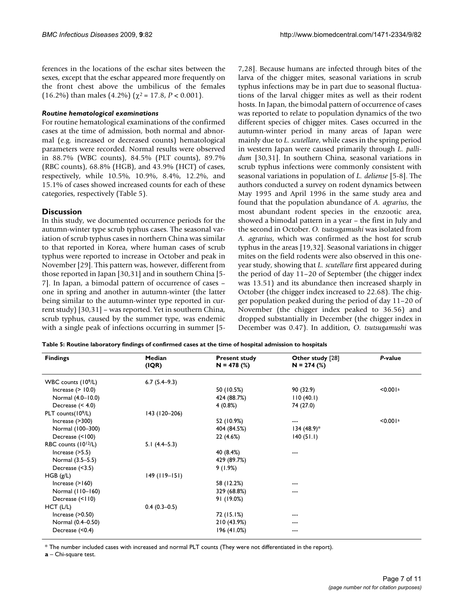ferences in the locations of the eschar sites between the sexes, except that the eschar appeared more frequently on the front chest above the umbilicus of the females (16.2%) than males (4.2%) ( $\chi^2$  = 17.8, *P* < 0.001).

#### *Routine hematological examinations*

For routine hematological examinations of the confirmed cases at the time of admission, both normal and abnormal (e.g. increased or decreased counts) hematological parameters were recorded. Normal results were observed in 88.7% (WBC counts), 84.5% (PLT counts), 89.7% (RBC counts), 68.8% (HGB), and 43.9% (HCT) of cases, respectively, while 10.5%, 10.9%, 8.4%, 12.2%, and 15.1% of cases showed increased counts for each of these categories, respectively (Table 5).

#### **Discussion**

In this study, we documented occurrence periods for the autumn-winter type scrub typhus cases. The seasonal variation of scrub typhus cases in northern China was similar to that reported in Korea, where human cases of scrub typhus were reported to increase in October and peak in November [29]. This pattern was, however, different from those reported in Japan [30,31] and in southern China [5- 7]. In Japan, a bimodal pattern of occurrence of cases – one in spring and another in autumn-winter (the latter being similar to the autumn-winter type reported in current study) [30,31] – was reported. Yet in southern China, scrub typhus, caused by the summer type, was endemic with a single peak of infections occurring in summer [57,28]. Because humans are infected through bites of the larva of the chigger mites, seasonal variations in scrub typhus infections may be in part due to seasonal fluctuations of the larval chigger mites as well as their rodent hosts. In Japan, the bimodal pattern of occurrence of cases was reported to relate to population dynamics of the two different species of chigger mites. Cases occurred in the autumn-winter period in many areas of Japan were mainly due to *L. scutellare*, while cases in the spring period in western Japan were caused primarily through *L. pallidum* [30,31]. In southern China, seasonal variations in scrub typhus infections were commonly consistent with seasonal variations in population of *L. deliense* [5-8]. The authors conducted a survey on rodent dynamics between May 1995 and April 1996 in the same study area and found that the population abundance of *A. agrarius*, the most abundant rodent species in the enzootic area, showed a bimodal pattern in a year – the first in July and the second in October. *O. tsutsugamushi* was isolated from *A. agrarius*, which was confirmed as the host for scrub typhus in the areas [19,32]. Seasonal variations in chigger mites on the field rodents were also observed in this oneyear study, showing that *L. scutellare* first appeared during the period of day 11–20 of September (the chigger index was 13.51) and its abundance then increased sharply in October (the chigger index increased to 22.68). The chigger population peaked during the period of day 11–20 of November (the chigger index peaked to 36.56) and dropped substantially in December (the chigger index in December was 0.47). In addition, *O. tsutsugamushi* was

**Table 5: Routine laboratory findings of confirmed cases at the time of hospital admission to hospitals**

| <b>Findings</b>                  | Median<br>(IQR) | <b>Present study</b><br>$N = 478$ (%) | Other study [28]<br>$N = 274$ (%) | P-value  |
|----------------------------------|-----------------|---------------------------------------|-----------------------------------|----------|
|                                  |                 |                                       |                                   |          |
| WBC counts (10 <sup>9</sup> /L)  | $6.7(5.4-9.3)$  |                                       |                                   |          |
| Increase $(>10.0)$               |                 | 50 (10.5%)                            | 90 (32.9)                         | < 0.001a |
| Normal (4.0-10.0)                |                 | 424 (88.7%)                           | 110(40.1)                         |          |
| Decrease $(< 4.0)$               |                 | 4(0.8%)                               | 74 (27.0)                         |          |
| PLT counts(109/L)                | 143 (120-206)   |                                       |                                   |          |
| Increase $($ >300)               |                 | 52 (10.9%)                            | $---$                             | < 0.001a |
| Normal (100-300)                 |                 | 404 (84.5%)                           | $134 (48.9)^*$                    |          |
| Decrease (<100)                  |                 | 22(4.6%)                              | 140(51.1)                         |          |
| RBC counts (10 <sup>12</sup> /L) | $5.1(4.4-5.3)$  |                                       |                                   |          |
| Increase $($ >5.5)               |                 | 40 (8.4%)                             | ---                               |          |
| Normal (3.5–5.5)                 |                 | 429 (89.7%)                           |                                   |          |
| Decrease $(<3.5)$                |                 | 9(1.9%)                               |                                   |          |
| HGB(g/L)                         | $149$ (119-151) |                                       |                                   |          |
| Increase $(>160)$                |                 | 58 (12.2%)                            |                                   |          |
| Normal (110-160)                 |                 | 329 (68.8%)                           | ---                               |          |
| Decrease (<110)                  |                 | 91 (19.0%)                            |                                   |          |
| $HCT$ (L/L)                      | $0.4(0.3-0.5)$  |                                       |                                   |          |
| Increase $($ >0.50)              |                 | 72 (15.1%)                            |                                   |          |
| Normal (0.4-0.50)                |                 | 210 (43.9%)                           | ---                               |          |
| Decrease (<0.4)                  |                 | 196 (41.0%)                           | ---                               |          |
|                                  |                 |                                       |                                   |          |

\* The number included cases with increased and normal PLT counts (They were not differentiated in the report).

**a** – Chi-square test.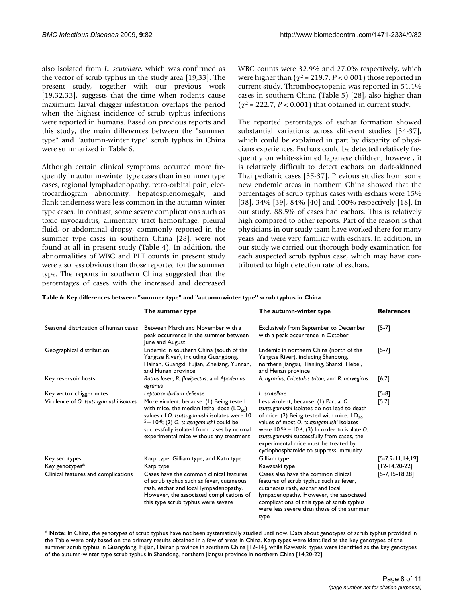also isolated from *L. scutellare*, which was confirmed as the vector of scrub typhus in the study area [19,33]. The present study, together with our previous work [19,32,33], suggests that the time when rodents cause maximum larval chigger infestation overlaps the period when the highest incidence of scrub typhus infections were reported in humans. Based on previous reports and this study, the main differences between the "summer type" and "autumn-winter type" scrub typhus in China were summarized in Table 6.

Although certain clinical symptoms occurred more frequently in autumn-winter type cases than in summer type cases, regional lymphadenopathy, retro-orbital pain, electrocardiogram abnormity, hepatosplenomegaly, and flank tenderness were less common in the autumn-winter type cases. In contrast, some severe complications such as toxic myocarditis, alimentary tract hemorrhage, pleural fluid, or abdominal dropsy, commonly reported in the summer type cases in southern China [28], were not found at all in present study (Table 4). In addition, the abnormalities of WBC and PLT counts in present study were also less obvious than those reported for the summer type. The reports in southern China suggested that the percentages of cases with the increased and decreased WBC counts were 32.9% and 27.0% respectively, which were higher than  $(\chi^2 = 219.7, P < 0.001)$  those reported in current study. Thrombocytopenia was reported in 51.1% cases in southern China (Table 5) [28], also higher than  $(\chi^2 = 222.7, P < 0.001)$  that obtained in current study.

The reported percentages of eschar formation showed substantial variations across different studies [34-37], which could be explained in part by disparity of physicians experiences. Eschars could be detected relatively frequently on white-skinned Japanese children, however, it is relatively difficult to detect eschars on dark-skinned Thai pediatric cases [35-37]. Previous studies from some new endemic areas in northern China showed that the percentages of scrub typhus cases with eschars were 15% [38], 34% [39], 84% [40] and 100% respectively [18]. In our study, 88.5% of cases had eschars. This is relatively high compared to other reports. Part of the reason is that physicians in our study team have worked there for many years and were very familiar with eschars. In addition, in our study we carried out thorough body examination for each suspected scrub typhus case, which may have contributed to high detection rate of eschars.

|                                        | The summer type                                                                                                                                                                                                                                                                     | The autumn-winter type                                                                                                                                                                                                                                                                                                                                                        | <b>References</b>  |
|----------------------------------------|-------------------------------------------------------------------------------------------------------------------------------------------------------------------------------------------------------------------------------------------------------------------------------------|-------------------------------------------------------------------------------------------------------------------------------------------------------------------------------------------------------------------------------------------------------------------------------------------------------------------------------------------------------------------------------|--------------------|
| Seasonal distribution of human cases   | Between March and November with a<br>peak occurrence in the summer between<br>June and August                                                                                                                                                                                       | Exclusively from September to December<br>with a peak occurrence in October                                                                                                                                                                                                                                                                                                   | $[5-7]$            |
| Geographical distribution              | Endemic in southern China (south of the<br>Yangtse River), including Guangdong,<br>Hainan, Guangxi, Fujian, Zhejiang, Yunnan,<br>and Hunan province.                                                                                                                                | Endemic in northern China (north of the<br>Yangtse River), including Shandong,<br>northern Jiangsu, Tianjing, Shanxi, Hebei,<br>and Henan province                                                                                                                                                                                                                            | $[5-7]$            |
| Key reservoir hosts                    | Rattus losea, R. flavipectus, and Apodemus<br>agrarius                                                                                                                                                                                                                              | A. agrarius, Cricetulus triton, and R. norvegicus.                                                                                                                                                                                                                                                                                                                            | [6,7]              |
| Key vector chigger mites               | Leptotrombidium deliense                                                                                                                                                                                                                                                            | L. scutellare                                                                                                                                                                                                                                                                                                                                                                 | $[5-8]$            |
| Virulence of O. tsutsugamushi isolates | More virulent, because: (1) Being tested<br>with mice, the median lethal dose $(LD_{50})$<br>values of O. tsutsugamushi isolates were 10-<br>$5 - 10^{-8}$ ; (2) O. tsutsugamushi could be<br>successfully isolated from cases by normal<br>experimental mice without any treatment | Less virulent, because: (1) Partial O.<br>tsutsugamushi isolates do not lead to death<br>of mice; (2) Being tested with mice, $LD_{50}$<br>values of most O. tsutsugamushi isolates<br>were $10^{-0.5} - 10^{-3}$ ; (3) In order to isolate O.<br>tsutsugamushi successfully from cases, the<br>experimental mice must be treated by<br>cyclophosphamide to suppress immunity | $[5,7]$            |
| Key serotypes                          | Karp type, Gilliam type, and Kato type                                                                                                                                                                                                                                              | Gilliam type                                                                                                                                                                                                                                                                                                                                                                  | $[5-7,9-11,14,19]$ |
| Key genotypes*                         | Karp type                                                                                                                                                                                                                                                                           | Kawasaki type                                                                                                                                                                                                                                                                                                                                                                 | $[12-14, 20-22]$   |
| Clinical features and complications    | Cases have the common clinical features<br>of scrub typhus such as fever, cutaneous<br>rash, eschar and local lympadenopathy.<br>However, the associated complications of<br>this type scrub typhus were severe                                                                     | Cases also have the common clinical<br>features of scrub typhus such as fever,<br>cutaneous rash, eschar and local<br>lympadenopathy. However, the associated<br>complications of this type of scrub typhus<br>were less severe than those of the summer<br>type                                                                                                              | $[5-7, 15-18, 28]$ |

\* **Note:** In China, the genotypes of scrub typhus have not been systematically studied until now. Data about genotypes of scrub typhus provided in the Table were only based on the primary results obtained in a few of areas in China. Karp types were identified as the key genotypes of the summer scrub typhus in Guangdong, Fujian, Hainan province in southern China [12-14], while Kawasaki types were identified as the key genotypes of the autumn-winter type scrub typhus in Shandong, northern Jiangsu province in northern China [14,20-[22](#page-9-0)]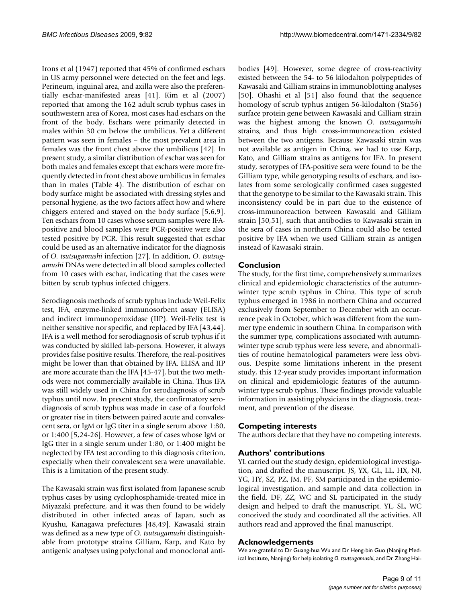Irons et al (1947) reported that 45% of confirmed eschars in US army personnel were detected on the feet and legs. Perineum, inguinal area, and axilla were also the preferentially eschar-manifested areas [41]. Kim et al (2007) reported that among the 162 adult scrub typhus cases in southwestern area of Korea, most cases had eschars on the front of the body. Eschars were primarily detected in males within 30 cm below the umbilicus. Yet a different pattern was seen in females – the most prevalent area in females was the front chest above the umbilicus [42]. In present study, a similar distribution of eschar was seen for both males and females except that eschars were more frequently detected in front chest above umbilicus in females than in males (Table 4). The distribution of eschar on body surface might be associated with dressing styles and personal hygiene, as the two factors affect how and where chiggers entered and stayed on the body surface [5,6,9]. Ten eschars from 10 cases whose serum samples were IFApositive and blood samples were PCR-positive were also tested positive by PCR. This result suggested that eschar could be used as an alternative indicator for the diagnosis of *O. tsutsugamushi* infection [\[27\]](#page-9-1). In addition, *O. tsutsugamushi* DNAs were detected in all blood samples collected from 10 cases with eschar, indicating that the cases were bitten by scrub typhus infected chiggers.

Serodiagnosis methods of scrub typhus include Weil-Felix test, IFA, enzyme-linked immunosorbent assay (ELISA) and indirect immunoperoxidase (IIP). Weil-Felix test is neither sensitive nor specific, and replaced by IFA [43,44]. IFA is a well method for serodiagnosis of scrub typhus if it was conducted by skilled lab-persons. However, it always provides false positive results. Therefore, the real-positives might be lower than that obtained by IFA. ELISA and IIP are more accurate than the IFA [45-[47\]](#page-10-0), but the two methods were not commercially available in China. Thus IFA was still widely used in China for serodiagnosis of scrub typhus until now. In present study, the confirmatory serodiagnosis of scrub typhus was made in case of a fourfold or greater rise in titers between paired acute and convalescent sera, or IgM or IgG titer in a single serum above 1:80, or 1:400 [5,24-26]. However, a few of cases whose IgM or IgG titer in a single serum under 1:80, or 1:400 might be neglected by IFA test according to this diagnosis criterion, especially when their convalescent sera were unavailable. This is a limitation of the present study.

The Kawasaki strain was first isolated from Japanese scrub typhus cases by using cyclophosphamide-treated mice in Miyazaki prefecture, and it was then found to be widely distributed in other infected areas of Japan, such as Kyushu, Kanagawa prefectures [48,49]. Kawasaki strain was defined as a new type of *O. tsutsugamushi* distinguishable from prototype strains Gilliam, Karp, and Kato by antigenic analyses using polyclonal and monoclonal antibodies [49]. However, some degree of cross-reactivity existed between the 54- to 56 kilodalton polypeptides of Kawasaki and Gilliam strains in immunoblotting analyses [50]. Ohashi et al [51] also found that the sequence homology of scrub typhus antigen 56-kilodalton (Sta56) surface protein gene between Kawasaki and Gilliam strain was the highest among the known *O. tsutsugamushi* strains, and thus high cross-immunoreaction existed between the two antigens. Because Kawasaki strain was not available as antigen in China, we had to use Karp, Kato, and Gilliam strains as antigens for IFA. In present study, serotypes of IFA-positive sera were found to be the Gilliam type, while genotyping results of eschars, and isolates from some serologically confirmed cases suggested that the genotype to be similar to the Kawasaki strain. This inconsistency could be in part due to the existence of cross-immunoreaction between Kawasaki and Gilliam strain [50,51], such that antibodies to Kawasaki strain in the sera of cases in northern China could also be tested positive by IFA when we used Gilliam strain as antigen instead of Kawasaki strain.

# **Conclusion**

The study, for the first time, comprehensively summarizes clinical and epidemiologic characteristics of the autumnwinter type scrub typhus in China. This type of scrub typhus emerged in 1986 in northern China and occurred exclusively from September to December with an occurrence peak in October, which was different from the summer type endemic in southern China. In comparison with the summer type, complications associated with autumnwinter type scrub typhus were less severe, and abnormalities of routine hematological parameters were less obvious. Despite some limitations inherent in the present study, this 12-year study provides important information on clinical and epidemiologic features of the autumnwinter type scrub typhus. These findings provide valuable information in assisting physicians in the diagnosis, treatment, and prevention of the disease.

# **Competing interests**

The authors declare that they have no competing interests.

# **Authors' contributions**

YL carried out the study design, epidemiological investigation, and drafted the manuscript. JS, YX, GL, LL, HX, NJ, YG, HY, SZ, PZ, JM, PF, SM participated in the epidemiological investigation, and sample and data collection in the field. DF, ZZ, WC and SL participated in the study design and helped to draft the manuscript. YL, SL, WC conceived the study and coordinated all the activities. All authors read and approved the final manuscript.

# **Acknowledgements**

We are grateful to Dr Guang-hua Wu and Dr Heng-bin Guo (Nanjing Medical Institute, Nanjing) for help isolating *O. tsutsugamushi*, and Dr Zhang Hai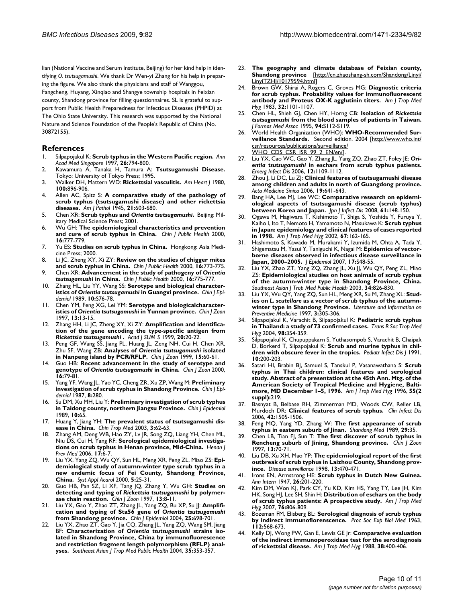lian (National Vaccine and Serum Institute, Beijing) for her kind help in identifying *O. tsutsugamushi*. We thank Dr Wen-yi Zhang for his help in preparing the figure. We also thank the physicians and staff of Wanggou, Fangcheng, Huyang, Xinqiao and Shangye township hospitals in Feixian county, Shandong province for filling questionnaires. SL is grateful to support from Public Health Preparedness for Infectious Diseases (PHPID) at The Ohio State University. This research was supported by the National Nature and Science Foundation of the People's Republic of China (No. 30872155).

#### **References**

- 1. Silpapojakul K: **[Scrub typhus in the Western Pacific region.](http://www.ncbi.nlm.nih.gov/entrez/query.fcgi?cmd=Retrieve&db=PubMed&dopt=Abstract&list_uids=9522982)** *Ann Acad Med Singapore* 1997, **26:**794-800.
- 2. Kawamura A, Tanaka H, Tamura A: **Tsutsugamushi Disease.** Tokyo: University of Tokyo Press; 1995.
- 3. Walker DH, Mattern WD: **[Rickettsial vasculitis.](http://www.ncbi.nlm.nih.gov/entrez/query.fcgi?cmd=Retrieve&db=PubMed&dopt=Abstract&list_uids=6893786)** *Am Heart J* 1980, **100:**896-906.
- 4. Allen AC, Spitz S: **A comparative study of the pathology of scrub typhus (tsutsugamushi disease) and other rickettsia diseases.** *Am J Pathol* 1945, **21:**603-680.
- 5. Chen XR: **Scrub typhus and** *Orientia tsutsugamushi***.** Beijing: Military Medical Science Press; 2001.
- 6. Wu GH: **The epidemiological characteristics and prevention and cure of scrub typhus in China.** *Chin J Public Health* 2000, **16:**777-779.
- 7. Yu ES: **Studies on scrub typhus in China.** Hongkong: Asia Medicine Press; 2000.
- 8. Li JC, Zheng XY, Xi ZY: **Review on the studies of chigger mites and scrub typhus in China.** *Chin J Public Health* 2000, **16:**773-775.
- 9. Chen XR: **Advancement in the study of pathogeny of** *Orientia tsutsugamushi* **in China.** *Chin J Public Health* 2000, **16:**775-777.
- 10. Zhang HL, Liu YY, Wang SS: **Serotype and biological characteristics of** *Orientia tsutsugamushi* **in Guangxi province.** *Chin J Epidemiol* 1989, **10:**S76-78.
- 11. Chen YM, Feng XG, Lei YM: **Serotype and biologicalcharacteristics of** *Orientia tsutsugamushi* **in Yunnan province.** *Chin J Zoon* 1997, **13:**13-15.
- 12. Zhang HH, Li JC, Zheng XY, Xi ZY: **Amplification and identification of the gene encoding the type-specific antigen from** *Rickettsia tsutsugamushi* **.** *Acad J SUM S* 1999, **20:**20-22.
- Peng GF, Wang SS, Jiang PL, Huang JL, Zeng NH, Cui H, Chen XR, Zhu SF, Wang ZB: **Analyses of** *Orientia tsutsugamushi* **isolated in Nanpeng island by PCR/RFLP.** *Chin J Zoon* 1999, **15:**60-61.
- 14. Guo HB: **Recent advancement in the study of serotype and genotype of** *Orientia tsutsugamushi* **in China.** *Chin J Zoon* 2000, **16:**79-81.
- 15. Yang YF, Wang JL, Yao YC, Cheng ZR, Xu ZP, Wang M: **Preliminary investigation of scrub typhus in Shandong Province.** *Chin J Epidemiol* 1987, **8:**280.
- 16. Su DM, Xu MH, Liu Y: **Preliminary investigation of scrub typhus in Taidong county, northern Jiangsu Province.** *Chin J Epidemiol* 1989, **10:**65.
- 17. Huang Y, Jiang YH: **The prevalent status of tsutsugamushi disease in China.** *Chin Trop Med* 2003, **3:**62-63.
- 18. Zhang AM, Deng WB, Hao ZY, Lv JR, Song ZQ, Liang YH, Chen ML, Niu DS, Cui H, Yang RF: **Serological epidemiological investigations on scrub typhus in Henan province, Mid-China.** *Henan J Prev Med* 2006, **17:**6-7.
- 19. Liu YX, Yang ZQ, Wu QY, Sun HL, Meng XR, Peng ZL, Miao ZS: **Epidemiological study of autumn-winter type scrub typhus in a new endemic focus of Fei County, Shandong Province, China.** *Syst Appl Acarol* 2000, **5:**25-31.
- 20. Guo HB, Pan SZ, Li XF, Tang JQ, Zhang Y, Wu GH: **Studies on detecting and typing of** *Rickettsia tsutsugamushi* **by polymerase chain reaction.** *Chin J Zoon* 1997, **13:**8-11.
- 21. Liu YX, Gao Y, Zhao ZT, Zhang JL, Yang ZQ, Bu XP, Su JJ: **Amplification and typing of Sta56 gene of** *Orientia tsutsugamushi* **from Shandong province.** *Chin J Epidemiol* 2004, **25:**698-701.
- <span id="page-9-0"></span>22. Liu YX, Zhao ZT, Gao Y, Jia CQ, Zhang JL, Yang ZQ, Wang SM, Jiang BF: **Characterization of** *Orientia tsutsugamushi* **[strains iso](http://www.ncbi.nlm.nih.gov/entrez/query.fcgi?cmd=Retrieve&db=PubMed&dopt=Abstract&list_uids=15691135)[lated in Shandong Province, China by immunofluorescence](http://www.ncbi.nlm.nih.gov/entrez/query.fcgi?cmd=Retrieve&db=PubMed&dopt=Abstract&list_uids=15691135) and restriction fragment length polymorphism (RFLP) anal[yses.](http://www.ncbi.nlm.nih.gov/entrez/query.fcgi?cmd=Retrieve&db=PubMed&dopt=Abstract&list_uids=15691135)** *Southeast Asian J Trop Med Public Health* 2004, **35:**353-357.
- 23. **The geography and climate database of Feixian county, Shandong province** [\[http://cn.zhaoshang-sh.com/Shandong/Linyi/](http://cn.zhaoshang-sh.com/Shandong/Linyi/LinyiTZHJ/10179594.html)  $LinyITZH|/10179594.html$
- 24. Brown GW, Shirai A, Rogers C, Groves MG: **[Diagnostic criteria](http://www.ncbi.nlm.nih.gov/entrez/query.fcgi?cmd=Retrieve&db=PubMed&dopt=Abstract&list_uids=6414321) [for scrub typhus. Probability values for immunofluorescent](http://www.ncbi.nlm.nih.gov/entrez/query.fcgi?cmd=Retrieve&db=PubMed&dopt=Abstract&list_uids=6414321) [antibody and Proteus OX-K agglutinin titers.](http://www.ncbi.nlm.nih.gov/entrez/query.fcgi?cmd=Retrieve&db=PubMed&dopt=Abstract&list_uids=6414321)** *Am J Trop Med Hyg* 1983, **32:**1101-1107.
- 25. Chen HL, Shieh GJ, Chen HY, Horng CB: **Isolation of** *Rickettsia tsutsugamushi* **[from the blood samples of patients in Taiwan.](http://www.ncbi.nlm.nih.gov/entrez/query.fcgi?cmd=Retrieve&db=PubMed&dopt=Abstract&list_uids=8672939)** *J Formos Med Assoc* 1995, **94:**S112-S119.
- 26. World Health Organization (WHO): **WHO-Recommended Surveillance Standards.** Second edition. 2004 [[http://www.who.int/](http://www.who.int/csr/resources/publications/surveillance/WHO_CDS_CSR_ISR_99_2_EN/en/) [csr/resources/publications/surveillance/](http://www.who.int/csr/resources/publications/surveillance/WHO_CDS_CSR_ISR_99_2_EN/en/) [WHO\\_CDS\\_CSR\\_ISR\\_99\\_2\\_EN/en/](http://www.who.int/csr/resources/publications/surveillance/WHO_CDS_CSR_ISR_99_2_EN/en/)].
- <span id="page-9-1"></span>27. Liu YX, Cao WC, Gao Y, Zhang JL, Yang ZQ, Zhao ZT, Foley JE: *Orientia tsutsugamushi* **[in eschars from scrub typhus patients.](http://www.ncbi.nlm.nih.gov/entrez/query.fcgi?cmd=Retrieve&db=PubMed&dopt=Abstract&list_uids=16836828)** *Emerg Infect Dis* 2006, **12:**1109-1112.
- 28. Zhou J, Li DC, Lu ZJ: **Clinical features of tsutsugamushi disease among children and adults in north of Guangdong province.** *Acta Medicine Sinica* 2006, **19:**641-643.
- 29. Bang HA, Lee MJ, Lee WC: **[Comparative research on epidemi](http://www.ncbi.nlm.nih.gov/entrez/query.fcgi?cmd=Retrieve&db=PubMed&dopt=Abstract&list_uids=18362409)[ological aspects of tsutsugamushi disease \(scrub typhus\)](http://www.ncbi.nlm.nih.gov/entrez/query.fcgi?cmd=Retrieve&db=PubMed&dopt=Abstract&list_uids=18362409) [between Korea and Japan.](http://www.ncbi.nlm.nih.gov/entrez/query.fcgi?cmd=Retrieve&db=PubMed&dopt=Abstract&list_uids=18362409)** *Jpn J Infect Dis* 2008, **61:**148-150.
- 30. Ogawa M, Hagiwara T, Kishimoto T, Shiga S, Yoshida Y, Furuya Y, Kaiho I, Ito T, Nemoto H, Yamamoto N, Masukawa K: **[Scrub typhus](http://www.ncbi.nlm.nih.gov/entrez/query.fcgi?cmd=Retrieve&db=PubMed&dopt=Abstract&list_uids=12389941) [in Japan: epidemiology and clinical features of cases reported](http://www.ncbi.nlm.nih.gov/entrez/query.fcgi?cmd=Retrieve&db=PubMed&dopt=Abstract&list_uids=12389941) [in 1998.](http://www.ncbi.nlm.nih.gov/entrez/query.fcgi?cmd=Retrieve&db=PubMed&dopt=Abstract&list_uids=12389941)** *Am J Trop Med Hyg* 2002, **67:**162-165.
- 31. Hashimoto S, Kawado M, Murakami Y, Izumida M, Ohta A, Tada Y, Shigematsu M, Yasui Y, Taniguchi K, Nagai M: **[Epidemics of vector](http://www.ncbi.nlm.nih.gov/entrez/query.fcgi?cmd=Retrieve&db=PubMed&dopt=Abstract&list_uids=18239342)[borne diseases observed in infectious disease surveillance in](http://www.ncbi.nlm.nih.gov/entrez/query.fcgi?cmd=Retrieve&db=PubMed&dopt=Abstract&list_uids=18239342) [Japan, 2000–2005.](http://www.ncbi.nlm.nih.gov/entrez/query.fcgi?cmd=Retrieve&db=PubMed&dopt=Abstract&list_uids=18239342)** *J Epidemiol* 2007, **17:**S48-55.
- 32. Liu YX, Zhao ZT, Yang ZQ, Zhang JL, Xu JJ, Wu QY, Peng ZL, Miao ZS: **[Epidemiological studies on host animals of scrub typhus](http://www.ncbi.nlm.nih.gov/entrez/query.fcgi?cmd=Retrieve&db=PubMed&dopt=Abstract&list_uids=15115095) [of the autumn-winter type in Shandong Province, China.](http://www.ncbi.nlm.nih.gov/entrez/query.fcgi?cmd=Retrieve&db=PubMed&dopt=Abstract&list_uids=15115095)** *Southeast Asian J Trop Med Public Health* 2003, **34:**826-830.
- 33. Liu YX, Wu QY, Yang ZQ, Sun HL, Meng XR, Su M, Zhang XL: **Studies on** *L. scutellare* **as a vector of scrub typhus of the autumnwinter type in Shandong Province.** *Literature and Information on Preventive Medicine* 1997, **3:**305-306.
- 34. Silpapojakul K, Varachit B, Silpapojakul K: **[Pediatric scrub typhus](http://www.ncbi.nlm.nih.gov/entrez/query.fcgi?cmd=Retrieve&db=PubMed&dopt=Abstract&list_uids=15099991) [in Thailand: a study of 73 confirmed cases.](http://www.ncbi.nlm.nih.gov/entrez/query.fcgi?cmd=Retrieve&db=PubMed&dopt=Abstract&list_uids=15099991)** *Trans R Soc Trop Med Hyg* 2004, **98:**354-359.
- Silpapojakul K, Chupuppakarn S, Yuthasompob S, Varachit B, Chaipak D, Borkerd T, Silpapojakul K: **[Scrub and murine typhus in chil](http://www.ncbi.nlm.nih.gov/entrez/query.fcgi?cmd=Retrieve&db=PubMed&dopt=Abstract&list_uids=2041666)[dren with obscure fever in the tropics.](http://www.ncbi.nlm.nih.gov/entrez/query.fcgi?cmd=Retrieve&db=PubMed&dopt=Abstract&list_uids=2041666)** *Pediatr Infect Dis J* 1991, **10:**200-203.
- 36. Satari HI, Brabin BJ, Samuel S, Tanskul P, Vasanawathana S: **[Scrub](http://www.ncbi.nlm.nih.gov/entrez/query.fcgi?cmd=Retrieve&db=PubMed&dopt=Abstract&list_uids=8780464) typhus in Thai children: clinical features and serological [study. Abstract of a presentation at the 45th Ann. Mtg. of the](http://www.ncbi.nlm.nih.gov/entrez/query.fcgi?cmd=Retrieve&db=PubMed&dopt=Abstract&list_uids=8780464) American Society of Tropical Medicine and Hygiene, Balti[more, MD December 1–5, 1996.](http://www.ncbi.nlm.nih.gov/entrez/query.fcgi?cmd=Retrieve&db=PubMed&dopt=Abstract&list_uids=8780464)** *Am J Trop Med Hyg* 1996, **55(2 suppl):**219.
- 37. Basnyat B, Belbase RH, Zimmerman MD, Woods CW, Reller LB, Murdoch DR: **[Clinical features of scrub typhus.](http://www.ncbi.nlm.nih.gov/entrez/query.fcgi?cmd=Retrieve&db=PubMed&dopt=Abstract&list_uids=16619174)** *Clin Infect Dis* 2006, **42:**1505-1506.
- 38. Feng MQ, Yang YD, Zhang W: **The first appearance of scrub typhus in eastern suburb of Jinan.** *Shandong Med* 1989, **29:**35.
- 39. Chen LB, Tian FJ, Sun T: **The first discover of scrub typhus in Rencheng suburb of Jining, Shandong province.** *Chin J Zoon* 1997, **13:**70-71.
- 40. Liu DB, Xu XH, Mao YP: **The epidemiological report of the first outbreak of scrub typhus in Laizhou County, Shandong province.** *Disease surveillance* 1998, **13:**470-471.
- 41. Irons EN, Armstrong HE: **Scrub typhus in Dutch New Guinea.** *Ann Intern* 1947, **26:**201-220.
- 42. Kim DM, Won KJ, Park CY, Yu KD, Kim HS, Yang TY, Lee JH, Kim HK, Song HJ, Lee SH, Shin H: **[Distribution of eschars on the body](http://www.ncbi.nlm.nih.gov/entrez/query.fcgi?cmd=Retrieve&db=PubMed&dopt=Abstract&list_uids=17488895) [of scrub typhus patients: A prospective study.](http://www.ncbi.nlm.nih.gov/entrez/query.fcgi?cmd=Retrieve&db=PubMed&dopt=Abstract&list_uids=17488895)** *Am J Trop Med Hyg* 2007, **76:**806-809.
- 43. Bozeman FM, Elisberg BL: **[Serological diagnosis of scrub typhus](http://www.ncbi.nlm.nih.gov/entrez/query.fcgi?cmd=Retrieve&db=PubMed&dopt=Abstract&list_uids=14014756) [by indirect immunoflorenscence.](http://www.ncbi.nlm.nih.gov/entrez/query.fcgi?cmd=Retrieve&db=PubMed&dopt=Abstract&list_uids=14014756)** *Proc Soc Exp Biol Med* 1963, **112:**568-673.
- 44. Kelly DJ, Wong PW, Gan E, Lewis GE Jr: **[Comparative evaluation](http://www.ncbi.nlm.nih.gov/entrez/query.fcgi?cmd=Retrieve&db=PubMed&dopt=Abstract&list_uids=3128129) [of the indirect immunoperoxidase test for the serodiagnosis](http://www.ncbi.nlm.nih.gov/entrez/query.fcgi?cmd=Retrieve&db=PubMed&dopt=Abstract&list_uids=3128129) [of rickettsial disease.](http://www.ncbi.nlm.nih.gov/entrez/query.fcgi?cmd=Retrieve&db=PubMed&dopt=Abstract&list_uids=3128129)** *Am J Trop Med Hyg* 1988, **38:**400-406.